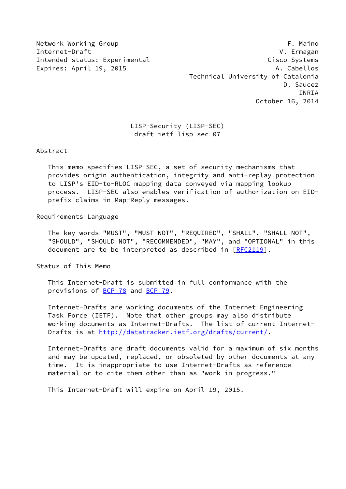Network Working Group **F. Maino** Internet-Draft V. Ermagan Intended status: Experimental Cisco Systems Expires: April 19, 2015 **A. Cabellos**  Technical University of Catalonia D. Saucez INRIA October 16, 2014

# LISP-Security (LISP-SEC) draft-ietf-lisp-sec-07

Abstract

 This memo specifies LISP-SEC, a set of security mechanisms that provides origin authentication, integrity and anti-replay protection to LISP's EID-to-RLOC mapping data conveyed via mapping lookup process. LISP-SEC also enables verification of authorization on EID prefix claims in Map-Reply messages.

Requirements Language

 The key words "MUST", "MUST NOT", "REQUIRED", "SHALL", "SHALL NOT", "SHOULD", "SHOULD NOT", "RECOMMENDED", "MAY", and "OPTIONAL" in this document are to be interpreted as described in [\[RFC2119](https://datatracker.ietf.org/doc/pdf/rfc2119)].

Status of This Memo

 This Internet-Draft is submitted in full conformance with the provisions of [BCP 78](https://datatracker.ietf.org/doc/pdf/bcp78) and [BCP 79](https://datatracker.ietf.org/doc/pdf/bcp79).

 Internet-Drafts are working documents of the Internet Engineering Task Force (IETF). Note that other groups may also distribute working documents as Internet-Drafts. The list of current Internet- Drafts is at<http://datatracker.ietf.org/drafts/current/>.

 Internet-Drafts are draft documents valid for a maximum of six months and may be updated, replaced, or obsoleted by other documents at any time. It is inappropriate to use Internet-Drafts as reference material or to cite them other than as "work in progress."

This Internet-Draft will expire on April 19, 2015.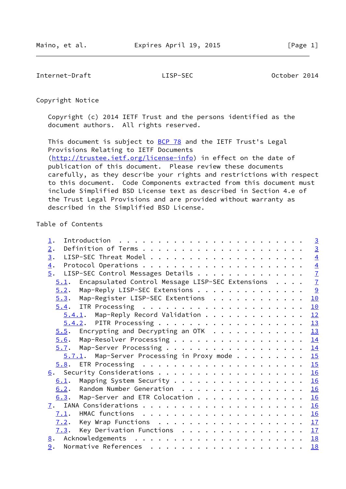Internet-Draft LISP-SEC October 2014

Copyright Notice

 Copyright (c) 2014 IETF Trust and the persons identified as the document authors. All rights reserved.

This document is subject to **[BCP 78](https://datatracker.ietf.org/doc/pdf/bcp78)** and the IETF Trust's Legal Provisions Relating to IETF Documents [\(http://trustee.ietf.org/license-info](http://trustee.ietf.org/license-info)) in effect on the date of publication of this document. Please review these documents carefully, as they describe your rights and restrictions with respect to this document. Code Components extracted from this document must include Simplified BSD License text as described in Section 4.e of the Trust Legal Provisions and are provided without warranty as described in the Simplified BSD License.

# Table of Contents

| $\perp$ .                                                | $\overline{3}$ |
|----------------------------------------------------------|----------------|
| 2.                                                       | $\overline{3}$ |
| 3.                                                       | $\overline{4}$ |
| $\overline{4}$ .                                         |                |
| $\overline{5}$ .<br>LISP-SEC Control Messages Details    | $\frac{4}{7}$  |
| Encapsulated Control Message LISP-SEC Extensions<br>5.1. |                |
| Map-Reply LISP-SEC Extensions<br>5.2.                    | $\frac{9}{2}$  |
| Map-Register LISP-SEC Extentions<br>5.3.                 | 10             |
|                                                          | 10             |
| $5.4.1$ . Map-Reply Record Validation                    | 12             |
|                                                          | 13             |
| $5.5$ . Encrypting and Decrypting an OTK 13              |                |
| Map-Resolver Processing 14<br>5.6.                       |                |
| 5.7. Map-Server Processing 14                            |                |
| $5.7.1$ . Map-Server Processing in Proxy mode 15         |                |
|                                                          |                |
|                                                          | 16             |
| Mapping System Security 16<br>6.1.                       |                |
| Random Number Generation<br>6.2.                         | 16             |
| Map-Server and ETR Colocation<br>6.3.                    | 16             |
|                                                          | 16             |
| 7.1.                                                     |                |
| Key Wrap Functions 17<br>7.2.                            |                |
| Key Derivation Functions $\cdots$ 17<br>7.3.             |                |
|                                                          | 18             |
| 9.                                                       | 18             |
|                                                          |                |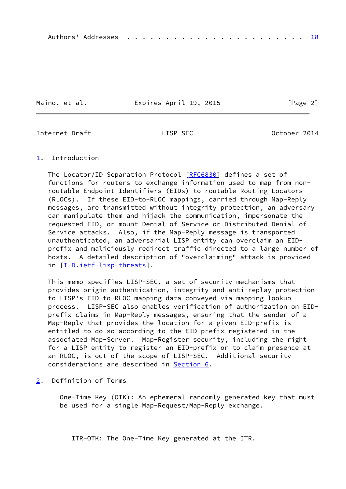Maino, et al. **Expires April 19, 2015** [Page 2]

<span id="page-2-1"></span>Internet-Draft LISP-SEC October 2014

### <span id="page-2-0"></span>[1](#page-2-0). Introduction

The Locator/ID Separation Protocol [[RFC6830\]](https://datatracker.ietf.org/doc/pdf/rfc6830) defines a set of functions for routers to exchange information used to map from non routable Endpoint Identifiers (EIDs) to routable Routing Locators (RLOCs). If these EID-to-RLOC mappings, carried through Map-Reply messages, are transmitted without integrity protection, an adversary can manipulate them and hijack the communication, impersonate the requested EID, or mount Denial of Service or Distributed Denial of Service attacks. Also, if the Map-Reply message is transported unauthenticated, an adversarial LISP entity can overclaim an EID prefix and maliciously redirect traffic directed to a large number of hosts. A detailed description of "overclaiming" attack is provided in [[I-D.ietf-lisp-threats\]](#page-19-3).

 This memo specifies LISP-SEC, a set of security mechanisms that provides origin authentication, integrity and anti-replay protection to LISP's EID-to-RLOC mapping data conveyed via mapping lookup process. LISP-SEC also enables verification of authorization on EID prefix claims in Map-Reply messages, ensuring that the sender of a Map-Reply that provides the location for a given EID-prefix is entitled to do so according to the EID prefix registered in the associated Map-Server. Map-Register security, including the right for a LISP entity to register an EID-prefix or to claim presence at an RLOC, is out of the scope of LISP-SEC. Additional security considerations are described in [Section 6](#page-17-0).

<span id="page-2-2"></span>[2](#page-2-2). Definition of Terms

 One-Time Key (OTK): An ephemeral randomly generated key that must be used for a single Map-Request/Map-Reply exchange.

ITR-OTK: The One-Time Key generated at the ITR.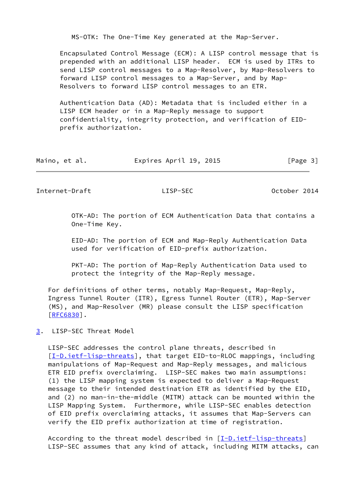MS-OTK: The One-Time Key generated at the Map-Server.

 Encapsulated Control Message (ECM): A LISP control message that is prepended with an additional LISP header. ECM is used by ITRs to send LISP control messages to a Map-Resolver, by Map-Resolvers to forward LISP control messages to a Map-Server, and by Map- Resolvers to forward LISP control messages to an ETR.

 Authentication Data (AD): Metadata that is included either in a LISP ECM header or in a Map-Reply message to support confidentiality, integrity protection, and verification of EID prefix authorization.

| Maino, et al. | Expires April 19, 2015 | [Page 3] |
|---------------|------------------------|----------|
|---------------|------------------------|----------|

<span id="page-3-1"></span>Internet-Draft LISP-SEC October 2014

 OTK-AD: The portion of ECM Authentication Data that contains a One-Time Key.

 EID-AD: The portion of ECM and Map-Reply Authentication Data used for verification of EID-prefix authorization.

 PKT-AD: The portion of Map-Reply Authentication Data used to protect the integrity of the Map-Reply message.

 For definitions of other terms, notably Map-Request, Map-Reply, Ingress Tunnel Router (ITR), Egress Tunnel Router (ETR), Map-Server (MS), and Map-Resolver (MR) please consult the LISP specification [\[RFC6830](https://datatracker.ietf.org/doc/pdf/rfc6830)].

<span id="page-3-0"></span>[3](#page-3-0). LISP-SEC Threat Model

 LISP-SEC addresses the control plane threats, described in [\[I-D.ietf-lisp-threats](#page-19-3)], that target EID-to-RLOC mappings, including manipulations of Map-Request and Map-Reply messages, and malicious ETR EID prefix overclaiming. LISP-SEC makes two main assumptions: (1) the LISP mapping system is expected to deliver a Map-Request message to their intended destination ETR as identified by the EID, and (2) no man-in-the-middle (MITM) attack can be mounted within the LISP Mapping System. Furthermore, while LISP-SEC enables detection of EID prefix overclaiming attacks, it assumes that Map-Servers can verify the EID prefix authorization at time of registration.

 According to the threat model described in [[I-D.ietf-lisp-threats\]](#page-19-3) LISP-SEC assumes that any kind of attack, including MITM attacks, can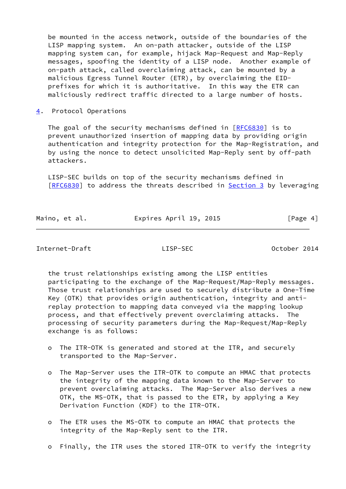be mounted in the access network, outside of the boundaries of the LISP mapping system. An on-path attacker, outside of the LISP mapping system can, for example, hijack Map-Request and Map-Reply messages, spoofing the identity of a LISP node. Another example of on-path attack, called overclaiming attack, can be mounted by a malicious Egress Tunnel Router (ETR), by overclaiming the EID prefixes for which it is authoritative. In this way the ETR can maliciously redirect traffic directed to a large number of hosts.

<span id="page-4-0"></span>[4](#page-4-0). Protocol Operations

The goal of the security mechanisms defined in  $[REC6830]$  is to prevent unauthorized insertion of mapping data by providing origin authentication and integrity protection for the Map-Registration, and by using the nonce to detect unsolicited Map-Reply sent by off-path attackers.

 LISP-SEC builds on top of the security mechanisms defined in [\[RFC6830](https://datatracker.ietf.org/doc/pdf/rfc6830)] to address the threats described in [Section 3](#page-3-0) by leveraging

| Maino, et al. | Expires April 19, 2015 | [Page 4] |
|---------------|------------------------|----------|
|               |                        |          |

Internet-Draft LISP-SEC October 2014

 the trust relationships existing among the LISP entities participating to the exchange of the Map-Request/Map-Reply messages. Those trust relationships are used to securely distribute a One-Time Key (OTK) that provides origin authentication, integrity and anti replay protection to mapping data conveyed via the mapping lookup process, and that effectively prevent overclaiming attacks. The processing of security parameters during the Map-Request/Map-Reply exchange is as follows:

- o The ITR-OTK is generated and stored at the ITR, and securely transported to the Map-Server.
- o The Map-Server uses the ITR-OTK to compute an HMAC that protects the integrity of the mapping data known to the Map-Server to prevent overclaiming attacks. The Map-Server also derives a new OTK, the MS-OTK, that is passed to the ETR, by applying a Key Derivation Function (KDF) to the ITR-OTK.
- o The ETR uses the MS-OTK to compute an HMAC that protects the integrity of the Map-Reply sent to the ITR.
- o Finally, the ITR uses the stored ITR-OTK to verify the integrity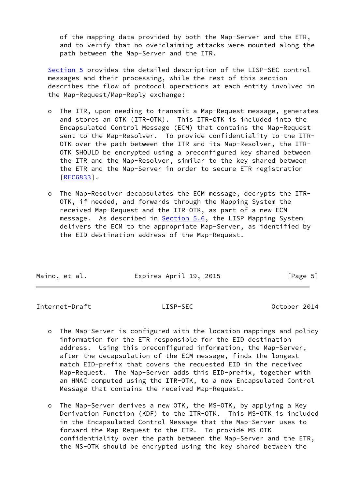of the mapping data provided by both the Map-Server and the ETR, and to verify that no overclaiming attacks were mounted along the path between the Map-Server and the ITR.

 [Section 5](#page-6-0) provides the detailed description of the LISP-SEC control messages and their processing, while the rest of this section describes the flow of protocol operations at each entity involved in the Map-Request/Map-Reply exchange:

- o The ITR, upon needing to transmit a Map-Request message, generates and stores an OTK (ITR-OTK). This ITR-OTK is included into the Encapsulated Control Message (ECM) that contains the Map-Request sent to the Map-Resolver. To provide confidentiality to the ITR- OTK over the path between the ITR and its Map-Resolver, the ITR- OTK SHOULD be encrypted using a preconfigured key shared between the ITR and the Map-Resolver, similar to the key shared between the ETR and the Map-Server in order to secure ETR registration [[RFC6833\]](https://datatracker.ietf.org/doc/pdf/rfc6833).
- o The Map-Resolver decapsulates the ECM message, decrypts the ITR- OTK, if needed, and forwards through the Mapping System the received Map-Request and the ITR-OTK, as part of a new ECM message. As described in **Section 5.6**, the LISP Mapping System delivers the ECM to the appropriate Map-Server, as identified by the EID destination address of the Map-Request.

| Maino, et al. | Expires April 19, 2015 | [Page 5] |
|---------------|------------------------|----------|

Internet-Draft LISP-SEC October 2014

- o The Map-Server is configured with the location mappings and policy information for the ETR responsible for the EID destination address. Using this preconfigured information, the Map-Server, after the decapsulation of the ECM message, finds the longest match EID-prefix that covers the requested EID in the received Map-Request. The Map-Server adds this EID-prefix, together with an HMAC computed using the ITR-OTK, to a new Encapsulated Control Message that contains the received Map-Request.
- o The Map-Server derives a new OTK, the MS-OTK, by applying a Key Derivation Function (KDF) to the ITR-OTK. This MS-OTK is included in the Encapsulated Control Message that the Map-Server uses to forward the Map-Request to the ETR. To provide MS-OTK confidentiality over the path between the Map-Server and the ETR, the MS-OTK should be encrypted using the key shared between the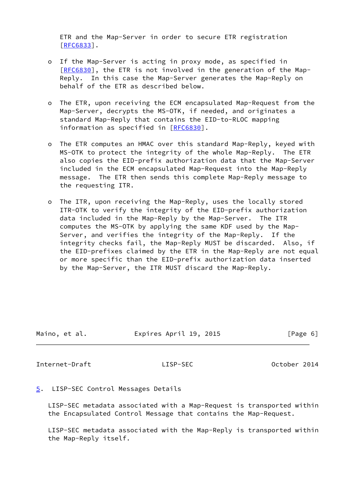ETR and the Map-Server in order to secure ETR registration [[RFC6833\]](https://datatracker.ietf.org/doc/pdf/rfc6833).

- o If the Map-Server is acting in proxy mode, as specified in [[RFC6830\]](https://datatracker.ietf.org/doc/pdf/rfc6830), the ETR is not involved in the generation of the Map- Reply. In this case the Map-Server generates the Map-Reply on behalf of the ETR as described below.
- o The ETR, upon receiving the ECM encapsulated Map-Request from the Map-Server, decrypts the MS-OTK, if needed, and originates a standard Map-Reply that contains the EID-to-RLOC mapping information as specified in [\[RFC6830](https://datatracker.ietf.org/doc/pdf/rfc6830)].
- o The ETR computes an HMAC over this standard Map-Reply, keyed with MS-OTK to protect the integrity of the whole Map-Reply. The ETR also copies the EID-prefix authorization data that the Map-Server included in the ECM encapsulated Map-Request into the Map-Reply message. The ETR then sends this complete Map-Reply message to the requesting ITR.
- o The ITR, upon receiving the Map-Reply, uses the locally stored ITR-OTK to verify the integrity of the EID-prefix authorization data included in the Map-Reply by the Map-Server. The ITR computes the MS-OTK by applying the same KDF used by the Map- Server, and verifies the integrity of the Map-Reply. If the integrity checks fail, the Map-Reply MUST be discarded. Also, if the EID-prefixes claimed by the ETR in the Map-Reply are not equal or more specific than the EID-prefix authorization data inserted by the Map-Server, the ITR MUST discard the Map-Reply.

| Maino, et al. | Expires April 19, 2015 | [Page 6] |
|---------------|------------------------|----------|
|               |                        |          |

<span id="page-6-1"></span>Internet-Draft LISP-SEC October 2014

# <span id="page-6-0"></span>[5](#page-6-0). LISP-SEC Control Messages Details

 LISP-SEC metadata associated with a Map-Request is transported within the Encapsulated Control Message that contains the Map-Request.

 LISP-SEC metadata associated with the Map-Reply is transported within the Map-Reply itself.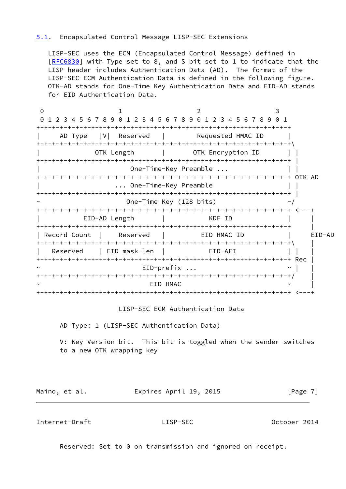# <span id="page-7-0"></span>[5.1](#page-7-0). Encapsulated Control Message LISP-SEC Extensions

 LISP-SEC uses the ECM (Encapsulated Control Message) defined in [\[RFC6830](https://datatracker.ietf.org/doc/pdf/rfc6830)] with Type set to 8, and S bit set to 1 to indicate that the LISP header includes Authentication Data (AD). The format of the LISP-SEC ECM Authentication Data is defined in the following figure. OTK-AD stands for One-Time Key Authentication Data and EID-AD stands for EID Authentication Data.

0 1 2 3 0 1 2 3 4 5 6 7 8 9 0 1 2 3 4 5 6 7 8 9 0 1 2 3 4 5 6 7 8 9 0 1 +-+-+-+-+-+-+-+-+-+-+-+-+-+-+-+-+-+-+-+-+-+-+-+-+-+-+-+-+-+-+-+-+ AD Type |V| Reserved | Requested HMAC ID +-+-+-+-+-+-+-+-+-+-+-+-+-+-+-+-+-+-+-+-+-+-+-+-+-+-+-+-+-+-+-+-+\ OTK Length | OTK Encryption ID | | +-+-+-+-+-+-+-+-+-+-+-+-+-+-+-+-+-+-+-+-+-+-+-+-+-+-+-+-+-+-+-+-+ | One-Time-Key Preamble ... +-+-+-+-+-+-+-+-+-+-+-+-+-+-+-+-+-+-+-+-+-+-+-+-+-+-+-+-+-+-+-+-+ OTK-AD | ... One-Time-Key Preamble | | +-+-+-+-+-+-+-+-+-+-+-+-+-+-+-+-+-+-+-+-+-+-+-+-+-+-+-+-+-+-+-+-+ | One-Time Key (128 bits)  $\sim$ / +-+-+-+-+-+-+-+-+-+-+-+-+-+-+-+-+-+-+-+-+-+-+-+-+-+-+-+-+-+-+-+-+ <---+ EID-AD Length | KDF ID +-+-+-+-+-+-+-+-+-+-+-+-+-+-+-+-+-+-+-+-+-+-+-+-+-+-+-+-+-+-+-+-+ | | Record Count | Reserved | EID HMAC ID | EID-AD +-+-+-+-+-+-+-+-+-+-+-+-+-+-+-+-+-+-+-+-+-+-+-+-+-+-+-+-+-+-+-+-+\ | Reserved | EID mask-len | EID-AFI | | +-+-+-+-+-+-+-+-+-+-+-+-+-+-+-+-+-+-+-+-+-+-+-+-+-+-+-+-+-+-+-+-+ Rec |  $EID-prefix$  ...  $\sim$  | +-+-+-+-+-+-+-+-+-+-+-+-+-+-+-+-+-+-+-+-+-+-+-+-+-+-+-+-+-+-+-+-+/ |  $\sim$   $\sim$   $\sim$   $\sim$   $\sim$   $\sim$   $\sim$ +-+-+-+-+-+-+-+-+-+-+-+-+-+-+-+-+-+-+-+-+-+-+-+-+-+-+-+-+-+-+-+-+ <---+

LISP-SEC ECM Authentication Data

AD Type: 1 (LISP-SEC Authentication Data)

 V: Key Version bit. This bit is toggled when the sender switches to a new OTK wrapping key

Maino, et al. **Expires April 19, 2015** [Page 7]

Internet-Draft LISP-SEC October 2014

Reserved: Set to 0 on transmission and ignored on receipt.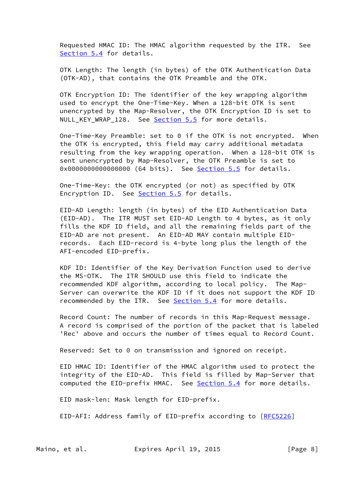Requested HMAC ID: The HMAC algorithm requested by the ITR. See [Section 5.4](#page-11-0) for details.

 OTK Length: The length (in bytes) of the OTK Authentication Data (OTK-AD), that contains the OTK Preamble and the OTK.

 OTK Encryption ID: The identifier of the key wrapping algorithm used to encrypt the One-Time-Key. When a 128-bit OTK is sent unencrypted by the Map-Resolver, the OTK Encryption ID is set to NULL\_KEY\_WRAP\_128. See [Section 5.5](#page-14-1) for more details.

 One-Time-Key Preamble: set to 0 if the OTK is not encrypted. When the OTK is encrypted, this field may carry additional metadata resulting from the key wrapping operation. When a 128-bit OTK is sent unencrypted by Map-Resolver, the OTK Preamble is set to 0x0000000000000000 (64 bits). See **Section 5.5** for details.

 One-Time-Key: the OTK encrypted (or not) as specified by OTK Encryption ID. See [Section 5.5](#page-14-1) for details.

 EID-AD Length: length (in bytes) of the EID Authentication Data (EID-AD). The ITR MUST set EID-AD Length to 4 bytes, as it only fills the KDF ID field, and all the remaining fields part of the EID-AD are not present. An EID-AD MAY contain multiple EID records. Each EID-record is 4-byte long plus the length of the AFI-encoded EID-prefix.

 KDF ID: Identifier of the Key Derivation Function used to derive the MS-OTK. The ITR SHOULD use this field to indicate the recommended KDF algorithm, according to local policy. The Map- Server can overwrite the KDF ID if it does not support the KDF ID recommended by the ITR. See [Section 5.4](#page-11-0) for more details.

 Record Count: The number of records in this Map-Request message. A record is comprised of the portion of the packet that is labeled 'Rec' above and occurs the number of times equal to Record Count.

Reserved: Set to 0 on transmission and ignored on receipt.

 EID HMAC ID: Identifier of the HMAC algorithm used to protect the integrity of the EID-AD. This field is filled by Map-Server that computed the EID-prefix HMAC. See [Section 5.4](#page-11-0) for more details.

EID mask-len: Mask length for EID-prefix.

EID-AFI: Address family of EID-prefix according to [[RFC5226](https://datatracker.ietf.org/doc/pdf/rfc5226)]

Maino, et al. **Expires April 19, 2015** [Page 8]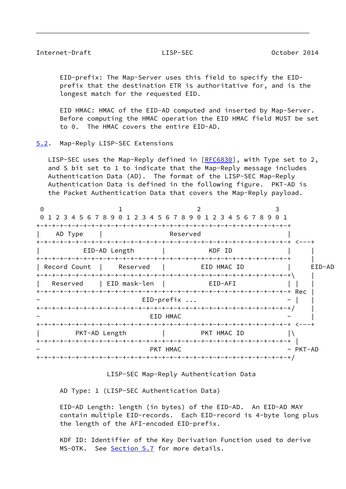### <span id="page-9-1"></span>Internet-Draft LISP-SEC October 2014

 EID-prefix: The Map-Server uses this field to specify the EID prefix that the destination ETR is authoritative for, and is the longest match for the requested EID.

 EID HMAC: HMAC of the EID-AD computed and inserted by Map-Server. Before computing the HMAC operation the EID HMAC field MUST be set to 0. The HMAC covers the entire EID-AD.

<span id="page-9-0"></span>[5.2](#page-9-0). Map-Reply LISP-SEC Extensions

LISP-SEC uses the Map-Reply defined in [\[RFC6830](https://datatracker.ietf.org/doc/pdf/rfc6830)], with Type set to 2, and S bit set to 1 to indicate that the Map-Reply message includes Authentication Data (AD). The format of the LISP-SEC Map-Reply Authentication Data is defined in the following figure. PKT-AD is the Packet Authentication Data that covers the Map-Reply payload.

| $\Theta$     |               | 0 1 2 3 4 5 6 7 8 9 0 1 2 3 4 5 6 7 8 9 0 1 2 3 4 5 6 7 8 9 0 1 |                |
|--------------|---------------|-----------------------------------------------------------------|----------------|
| AD Type      |               | Reserved                                                        |                |
|              | EID-AD Length | KDF ID                                                          |                |
| Record Count | Reserved      | EID HMAC ID                                                     | EID-AD         |
| Reserved     | EID mask-len  | EID-AFI                                                         |                |
|              |               | $EID-prefix$                                                    |                |
| $\tilde{}$   |               | EID HMAC                                                        |                |
|              | PKT-AD Length | <b>EXAMPLE THE PRIMARY OF PRIMARY SET</b>                       |                |
|              |               | PKT HMAC                                                        | $~\sim$ PKT-AD |
|              |               |                                                                 |                |

LISP-SEC Map-Reply Authentication Data

AD Type: 1 (LISP-SEC Authentication Data)

 EID-AD Length: length (in bytes) of the EID-AD. An EID-AD MAY contain multiple EID-records. Each EID-record is 4-byte long plus the length of the AFI-encoded EID-prefix.

 KDF ID: Identifier of the Key Derivation Function used to derive MS-OTK. See [Section 5.7](#page-15-0) for more details.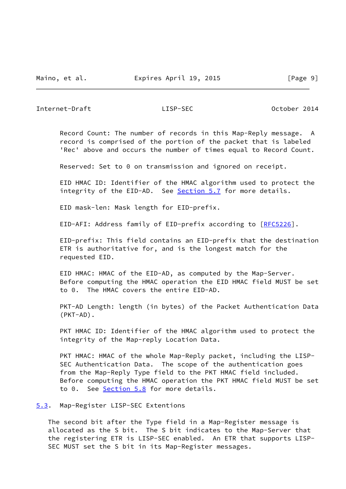<span id="page-10-1"></span>Internet-Draft LISP-SEC October 2014

 Record Count: The number of records in this Map-Reply message. A record is comprised of the portion of the packet that is labeled 'Rec' above and occurs the number of times equal to Record Count.

Reserved: Set to 0 on transmission and ignored on receipt.

 EID HMAC ID: Identifier of the HMAC algorithm used to protect the integrity of the EID-AD. See [Section 5.7](#page-15-0) for more details.

EID mask-len: Mask length for EID-prefix.

EID-AFI: Address family of EID-prefix according to [[RFC5226](https://datatracker.ietf.org/doc/pdf/rfc5226)].

 EID-prefix: This field contains an EID-prefix that the destination ETR is authoritative for, and is the longest match for the requested EID.

 EID HMAC: HMAC of the EID-AD, as computed by the Map-Server. Before computing the HMAC operation the EID HMAC field MUST be set to 0. The HMAC covers the entire EID-AD.

 PKT-AD Length: length (in bytes) of the Packet Authentication Data (PKT-AD).

PKT HMAC ID: Identifier of the HMAC algorithm used to protect the integrity of the Map-reply Location Data.

 PKT HMAC: HMAC of the whole Map-Reply packet, including the LISP- SEC Authentication Data. The scope of the authentication goes from the Map-Reply Type field to the PKT HMAC field included. Before computing the HMAC operation the PKT HMAC field MUST be set to 0. See [Section 5.8](#page-16-1) for more details.

<span id="page-10-0"></span>[5.3](#page-10-0). Map-Register LISP-SEC Extentions

 The second bit after the Type field in a Map-Register message is allocated as the S bit. The S bit indicates to the Map-Server that the registering ETR is LISP-SEC enabled. An ETR that supports LISP- SEC MUST set the S bit in its Map-Register messages.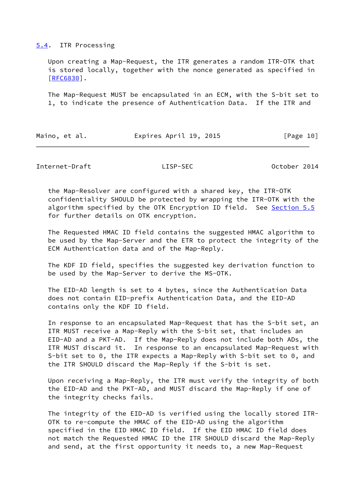### <span id="page-11-0"></span>[5.4](#page-11-0). ITR Processing

 Upon creating a Map-Request, the ITR generates a random ITR-OTK that is stored locally, together with the nonce generated as specified in [\[RFC6830](https://datatracker.ietf.org/doc/pdf/rfc6830)].

 The Map-Request MUST be encapsulated in an ECM, with the S-bit set to 1, to indicate the presence of Authentication Data. If the ITR and

| Maino, et al. | Expires April 19, 2015 | [Page 10] |
|---------------|------------------------|-----------|
|               |                        |           |

Internet-Draft LISP-SEC October 2014

 the Map-Resolver are configured with a shared key, the ITR-OTK confidentiality SHOULD be protected by wrapping the ITR-OTK with the algorithm specified by the OTK Encryption ID field. See [Section 5.5](#page-14-1) for further details on OTK encryption.

 The Requested HMAC ID field contains the suggested HMAC algorithm to be used by the Map-Server and the ETR to protect the integrity of the ECM Authentication data and of the Map-Reply.

 The KDF ID field, specifies the suggested key derivation function to be used by the Map-Server to derive the MS-OTK.

 The EID-AD length is set to 4 bytes, since the Authentication Data does not contain EID-prefix Authentication Data, and the EID-AD contains only the KDF ID field.

 In response to an encapsulated Map-Request that has the S-bit set, an ITR MUST receive a Map-Reply with the S-bit set, that includes an EID-AD and a PKT-AD. If the Map-Reply does not include both ADs, the ITR MUST discard it. In response to an encapsulated Map-Request with S-bit set to 0, the ITR expects a Map-Reply with S-bit set to 0, and the ITR SHOULD discard the Map-Reply if the S-bit is set.

 Upon receiving a Map-Reply, the ITR must verify the integrity of both the EID-AD and the PKT-AD, and MUST discard the Map-Reply if one of the integrity checks fails.

 The integrity of the EID-AD is verified using the locally stored ITR- OTK to re-compute the HMAC of the EID-AD using the algorithm specified in the EID HMAC ID field. If the EID HMAC ID field does not match the Requested HMAC ID the ITR SHOULD discard the Map-Reply and send, at the first opportunity it needs to, a new Map-Request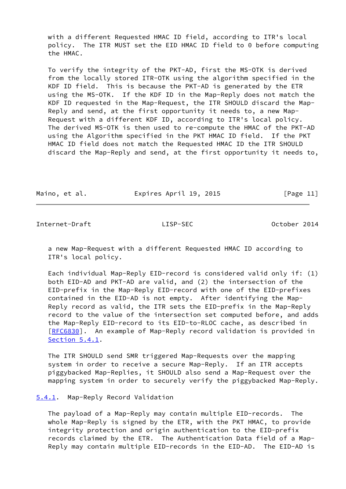with a different Requested HMAC ID field, according to ITR's local policy. The ITR MUST set the EID HMAC ID field to 0 before computing the HMAC.

 To verify the integrity of the PKT-AD, first the MS-OTK is derived from the locally stored ITR-OTK using the algorithm specified in the KDF ID field. This is because the PKT-AD is generated by the ETR using the MS-OTK. If the KDF ID in the Map-Reply does not match the KDF ID requested in the Map-Request, the ITR SHOULD discard the Map- Reply and send, at the first opportunity it needs to, a new Map- Request with a different KDF ID, according to ITR's local policy. The derived MS-OTK is then used to re-compute the HMAC of the PKT-AD using the Algorithm specified in the PKT HMAC ID field. If the PKT HMAC ID field does not match the Requested HMAC ID the ITR SHOULD discard the Map-Reply and send, at the first opportunity it needs to,

Maino, et al. **Expires April 19, 2015** [Page 11]

<span id="page-12-1"></span>Internet-Draft LISP-SEC October 2014

 a new Map-Request with a different Requested HMAC ID according to ITR's local policy.

 Each individual Map-Reply EID-record is considered valid only if: (1) both EID-AD and PKT-AD are valid, and (2) the intersection of the EID-prefix in the Map-Reply EID-record with one of the EID-prefixes contained in the EID-AD is not empty. After identifying the Map- Reply record as valid, the ITR sets the EID-prefix in the Map-Reply record to the value of the intersection set computed before, and adds the Map-Reply EID-record to its EID-to-RLOC cache, as described in [\[RFC6830](https://datatracker.ietf.org/doc/pdf/rfc6830)]. An example of Map-Reply record validation is provided in [Section 5.4.1](#page-12-0).

 The ITR SHOULD send SMR triggered Map-Requests over the mapping system in order to receive a secure Map-Reply. If an ITR accepts piggybacked Map-Replies, it SHOULD also send a Map-Request over the mapping system in order to securely verify the piggybacked Map-Reply.

# <span id="page-12-0"></span>[5.4.1](#page-12-0). Map-Reply Record Validation

 The payload of a Map-Reply may contain multiple EID-records. The whole Map-Reply is signed by the ETR, with the PKT HMAC, to provide integrity protection and origin authentication to the EID-prefix records claimed by the ETR. The Authentication Data field of a Map- Reply may contain multiple EID-records in the EID-AD. The EID-AD is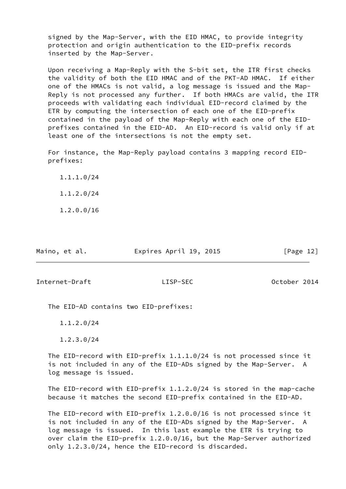signed by the Map-Server, with the EID HMAC, to provide integrity protection and origin authentication to the EID-prefix records inserted by the Map-Server.

 Upon receiving a Map-Reply with the S-bit set, the ITR first checks the validity of both the EID HMAC and of the PKT-AD HMAC. If either one of the HMACs is not valid, a log message is issued and the Map- Reply is not processed any further. If both HMACs are valid, the ITR proceeds with validating each individual EID-record claimed by the ETR by computing the intersection of each one of the EID-prefix contained in the payload of the Map-Reply with each one of the EID prefixes contained in the EID-AD. An EID-record is valid only if at least one of the intersections is not the empty set.

 For instance, the Map-Reply payload contains 3 mapping record EID prefixes:

 1.1.1.0/24 1.1.2.0/24

1.2.0.0/16

| Maino, et al. | Expires April 19, 2015 | [Page 12] |
|---------------|------------------------|-----------|
|               |                        |           |

<span id="page-13-0"></span>Internet-Draft LISP-SEC October 2014

The EID-AD contains two EID-prefixes:

1.1.2.0/24

1.2.3.0/24

 The EID-record with EID-prefix 1.1.1.0/24 is not processed since it is not included in any of the EID-ADs signed by the Map-Server. A log message is issued.

 The EID-record with EID-prefix 1.1.2.0/24 is stored in the map-cache because it matches the second EID-prefix contained in the EID-AD.

 The EID-record with EID-prefix 1.2.0.0/16 is not processed since it is not included in any of the EID-ADs signed by the Map-Server. A log message is issued. In this last example the ETR is trying to over claim the EID-prefix 1.2.0.0/16, but the Map-Server authorized only 1.2.3.0/24, hence the EID-record is discarded.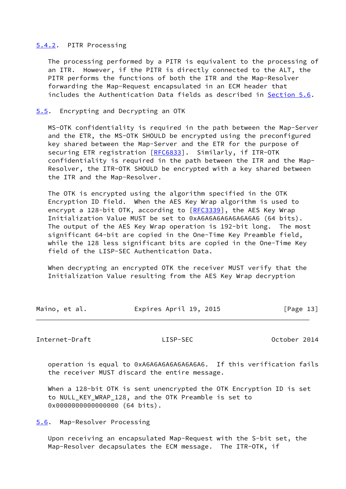# <span id="page-14-0"></span>[5.4.2](#page-14-0). PITR Processing

 The processing performed by a PITR is equivalent to the processing of an ITR. However, if the PITR is directly connected to the ALT, the PITR performs the functions of both the ITR and the Map-Resolver forwarding the Map-Request encapsulated in an ECM header that includes the Authentication Data fields as described in [Section 5.6](#page-14-2).

## <span id="page-14-1"></span>[5.5](#page-14-1). Encrypting and Decrypting an OTK

 MS-OTK confidentiality is required in the path between the Map-Server and the ETR, the MS-OTK SHOULD be encrypted using the preconfigured key shared between the Map-Server and the ETR for the purpose of securing ETR registration [[RFC6833](https://datatracker.ietf.org/doc/pdf/rfc6833)]. Similarly, if ITR-OTK confidentiality is required in the path between the ITR and the Map- Resolver, the ITR-OTK SHOULD be encrypted with a key shared between the ITR and the Map-Resolver.

 The OTK is encrypted using the algorithm specified in the OTK Encryption ID field. When the AES Key Wrap algorithm is used to encrypt a 128-bit OTK, according to [\[RFC3339](https://datatracker.ietf.org/doc/pdf/rfc3339)], the AES Key Wrap Initialization Value MUST be set to 0xA6A6A6A6A6A6A6A6 (64 bits). The output of the AES Key Wrap operation is 192-bit long. The most significant 64-bit are copied in the One-Time Key Preamble field, while the 128 less significant bits are copied in the One-Time Key field of the LISP-SEC Authentication Data.

 When decrypting an encrypted OTK the receiver MUST verify that the Initialization Value resulting from the AES Key Wrap decryption

| Maino, et al. | Expires April 19, 2015 | [Page 13] |
|---------------|------------------------|-----------|
|               |                        |           |

<span id="page-14-3"></span>Internet-Draft LISP-SEC October 2014

 operation is equal to 0xA6A6A6A6A6A6A6A6. If this verification fails the receiver MUST discard the entire message.

 When a 128-bit OTK is sent unencrypted the OTK Encryption ID is set to NULL\_KEY\_WRAP\_128, and the OTK Preamble is set to 0x00000000000000000 (64 bits).

<span id="page-14-2"></span>[5.6](#page-14-2). Map-Resolver Processing

 Upon receiving an encapsulated Map-Request with the S-bit set, the Map-Resolver decapsulates the ECM message. The ITR-OTK, if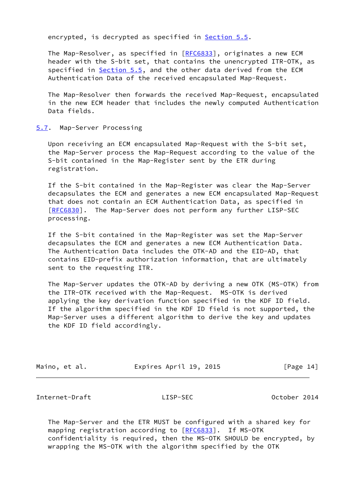encrypted, is decrypted as specified in **Section 5.5**.

 The Map-Resolver, as specified in [[RFC6833](https://datatracker.ietf.org/doc/pdf/rfc6833)], originates a new ECM header with the S-bit set, that contains the unencrypted ITR-OTK, as specified in [Section 5.5](#page-14-1), and the other data derived from the ECM Authentication Data of the received encapsulated Map-Request.

 The Map-Resolver then forwards the received Map-Request, encapsulated in the new ECM header that includes the newly computed Authentication Data fields.

### <span id="page-15-0"></span>[5.7](#page-15-0). Map-Server Processing

 Upon receiving an ECM encapsulated Map-Request with the S-bit set, the Map-Server process the Map-Request according to the value of the S-bit contained in the Map-Register sent by the ETR during registration.

 If the S-bit contained in the Map-Register was clear the Map-Server decapsulates the ECM and generates a new ECM encapsulated Map-Request that does not contain an ECM Authentication Data, as specified in [\[RFC6830](https://datatracker.ietf.org/doc/pdf/rfc6830)]. The Map-Server does not perform any further LISP-SEC processing.

 If the S-bit contained in the Map-Register was set the Map-Server decapsulates the ECM and generates a new ECM Authentication Data. The Authentication Data includes the OTK-AD and the EID-AD, that contains EID-prefix authorization information, that are ultimately sent to the requesting ITR.

 The Map-Server updates the OTK-AD by deriving a new OTK (MS-OTK) from the ITR-OTK received with the Map-Request. MS-OTK is derived applying the key derivation function specified in the KDF ID field. If the algorithm specified in the KDF ID field is not supported, the Map-Server uses a different algorithm to derive the key and updates the KDF ID field accordingly.

| Maino, | et al. |  |
|--------|--------|--|
|--------|--------|--|

Expires April 19, 2015 [Page 14]

<span id="page-15-1"></span>Internet-Draft LISP-SEC October 2014

 The Map-Server and the ETR MUST be configured with a shared key for mapping registration according to [[RFC6833](https://datatracker.ietf.org/doc/pdf/rfc6833)]. If MS-OTK confidentiality is required, then the MS-OTK SHOULD be encrypted, by wrapping the MS-OTK with the algorithm specified by the OTK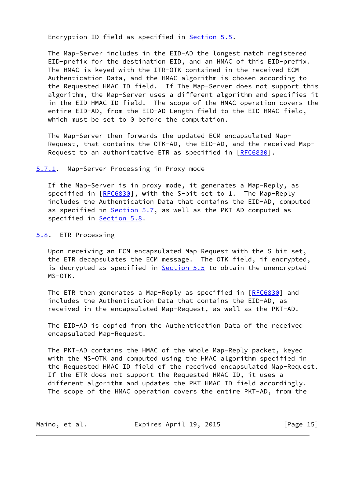Encryption ID field as specified in [Section 5.5.](#page-14-1)

 The Map-Server includes in the EID-AD the longest match registered EID-prefix for the destination EID, and an HMAC of this EID-prefix. The HMAC is keyed with the ITR-OTK contained in the received ECM Authentication Data, and the HMAC algorithm is chosen according to the Requested HMAC ID field. If The Map-Server does not support this algorithm, the Map-Server uses a different algorithm and specifies it in the EID HMAC ID field. The scope of the HMAC operation covers the entire EID-AD, from the EID-AD Length field to the EID HMAC field, which must be set to 0 before the computation.

 The Map-Server then forwards the updated ECM encapsulated Map- Request, that contains the OTK-AD, the EID-AD, and the received Map- Request to an authoritative ETR as specified in [\[RFC6830](https://datatracker.ietf.org/doc/pdf/rfc6830)].

<span id="page-16-0"></span>[5.7.1](#page-16-0). Map-Server Processing in Proxy mode

 If the Map-Server is in proxy mode, it generates a Map-Reply, as specified in [\[RFC6830](https://datatracker.ietf.org/doc/pdf/rfc6830)], with the S-bit set to 1. The Map-Reply includes the Authentication Data that contains the EID-AD, computed as specified in [Section 5.7](#page-15-0), as well as the PKT-AD computed as specified in **Section 5.8.** 

<span id="page-16-1"></span>[5.8](#page-16-1). ETR Processing

 Upon receiving an ECM encapsulated Map-Request with the S-bit set, the ETR decapsulates the ECM message. The OTK field, if encrypted, is decrypted as specified in **Section 5.5** to obtain the unencrypted MS-OTK.

The ETR then generates a Map-Reply as specified in [[RFC6830\]](https://datatracker.ietf.org/doc/pdf/rfc6830) and includes the Authentication Data that contains the EID-AD, as received in the encapsulated Map-Request, as well as the PKT-AD.

 The EID-AD is copied from the Authentication Data of the received encapsulated Map-Request.

 The PKT-AD contains the HMAC of the whole Map-Reply packet, keyed with the MS-OTK and computed using the HMAC algorithm specified in the Requested HMAC ID field of the received encapsulated Map-Request. If the ETR does not support the Requested HMAC ID, it uses a different algorithm and updates the PKT HMAC ID field accordingly. The scope of the HMAC operation covers the entire PKT-AD, from the

| Maino, et al. | Expires April 19, 2015 | [Page 15] |
|---------------|------------------------|-----------|
|---------------|------------------------|-----------|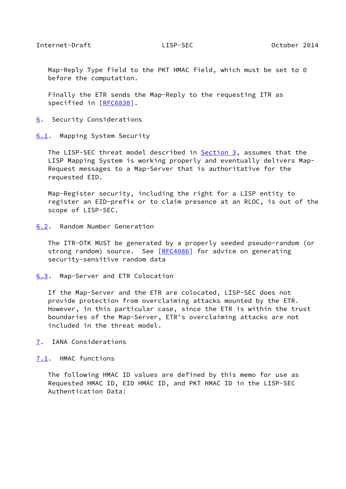<span id="page-17-1"></span> Map-Reply Type field to the PKT HMAC field, which must be set to 0 before the computation.

 Finally the ETR sends the Map-Reply to the requesting ITR as specified in [\[RFC6830](https://datatracker.ietf.org/doc/pdf/rfc6830)].

<span id="page-17-0"></span>[6](#page-17-0). Security Considerations

<span id="page-17-2"></span>[6.1](#page-17-2). Mapping System Security

The LISP-SEC threat model described in **Section 3**, assumes that the LISP Mapping System is working properly and eventually delivers Map- Request messages to a Map-Server that is authoritative for the requested EID.

 Map-Register security, including the right for a LISP entity to register an EID-prefix or to claim presence at an RLOC, is out of the scope of LISP-SEC.

<span id="page-17-3"></span>[6.2](#page-17-3). Random Number Generation

 The ITR-OTK MUST be generated by a properly seeded pseudo-random (or strong random) source. See [\[RFC4086](https://datatracker.ietf.org/doc/pdf/rfc4086)] for advice on generating security-sensitive random data

<span id="page-17-4"></span>[6.3](#page-17-4). Map-Server and ETR Colocation

 If the Map-Server and the ETR are colocated, LISP-SEC does not provide protection from overclaiming attacks mounted by the ETR. However, in this particular case, since the ETR is within the trust boundaries of the Map-Server, ETR's overclaiming attacks are not included in the threat model.

<span id="page-17-5"></span>[7](#page-17-5). IANA Considerations

<span id="page-17-6"></span>[7.1](#page-17-6). HMAC functions

 The following HMAC ID values are defined by this memo for use as Requested HMAC ID, EID HMAC ID, and PKT HMAC ID in the LISP-SEC Authentication Data: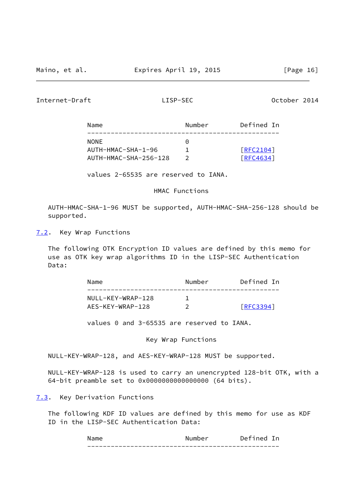<span id="page-18-1"></span>Internet-Draft LISP-SEC October 2014

| Name                  | Number    | Defined In |
|-----------------------|-----------|------------|
| <b>NONE</b>           | $(\cdot)$ |            |
| AUTH-HMAC-SHA-1-96    |           | [REC2104]  |
| AUTH-HMAC-SHA-256-128 |           | [RFC4634]  |

values 2-65535 are reserved to IANA.

HMAC Functions

 AUTH-HMAC-SHA-1-96 MUST be supported, AUTH-HMAC-SHA-256-128 should be supported.

<span id="page-18-0"></span>[7.2](#page-18-0). Key Wrap Functions

 The following OTK Encryption ID values are defined by this memo for use as OTK key wrap algorithms ID in the LISP-SEC Authentication Data:

| Name              | Number | Defined In      |
|-------------------|--------|-----------------|
| NULL-KEY-WRAP-128 |        |                 |
| AES-KEY-WRAP-128  |        | <b>FRFC3394</b> |

values 0 and 3-65535 are reserved to IANA.

Key Wrap Functions

NULL-KEY-WRAP-128, and AES-KEY-WRAP-128 MUST be supported.

 NULL-KEY-WRAP-128 is used to carry an unencrypted 128-bit OTK, with a 64-bit preamble set to 0x0000000000000000 (64 bits).

<span id="page-18-2"></span>[7.3](#page-18-2). Key Derivation Functions

 The following KDF ID values are defined by this memo for use as KDF ID in the LISP-SEC Authentication Data:

| м.<br>                            | Number                                       | -<br>≏י<br>Je |
|-----------------------------------|----------------------------------------------|---------------|
| _ _ _ _ _ _<br>_ _ _ _ _ _<br>___ | -------------<br>------------<br>- - - - - - | __<br>___     |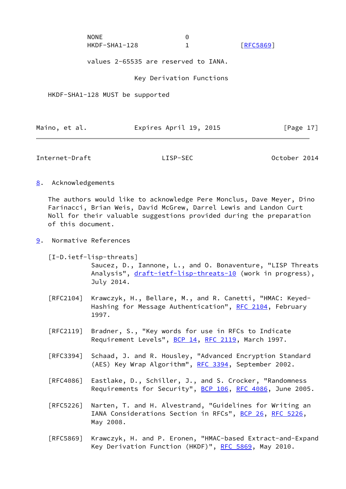| <b>NONE</b>   |                  |
|---------------|------------------|
| HKDF-SHA1-128 | <b>FRFC58691</b> |

values 2-65535 are reserved to IANA.

Key Derivation Functions

HKDF-SHA1-128 MUST be supported

| Expires April 19, 2015<br>Maino, et al. | [Page 17] |
|-----------------------------------------|-----------|
|-----------------------------------------|-----------|

<span id="page-19-1"></span>Internet-Draft LISP-SEC October 2014

<span id="page-19-0"></span>[8](#page-19-0). Acknowledgements

 The authors would like to acknowledge Pere Monclus, Dave Meyer, Dino Farinacci, Brian Weis, David McGrew, Darrel Lewis and Landon Curt Noll for their valuable suggestions provided during the preparation of this document.

<span id="page-19-2"></span>[9](#page-19-2). Normative References

<span id="page-19-3"></span> [I-D.ietf-lisp-threats] Saucez, D., Iannone, L., and O. Bonaventure, "LISP Threats Analysis", [draft-ietf-lisp-threats-10](https://datatracker.ietf.org/doc/pdf/draft-ietf-lisp-threats-10) (work in progress), July 2014.

- [RFC2104] Krawczyk, H., Bellare, M., and R. Canetti, "HMAC: Keyed- Hashing for Message Authentication", [RFC 2104](https://datatracker.ietf.org/doc/pdf/rfc2104), February 1997.
- [RFC2119] Bradner, S., "Key words for use in RFCs to Indicate Requirement Levels", [BCP 14](https://datatracker.ietf.org/doc/pdf/bcp14), [RFC 2119](https://datatracker.ietf.org/doc/pdf/rfc2119), March 1997.
- [RFC3394] Schaad, J. and R. Housley, "Advanced Encryption Standard (AES) Key Wrap Algorithm", [RFC 3394](https://datatracker.ietf.org/doc/pdf/rfc3394), September 2002.
- [RFC4086] Eastlake, D., Schiller, J., and S. Crocker, "Randomness Requirements for Security", [BCP 106](https://datatracker.ietf.org/doc/pdf/bcp106), [RFC 4086](https://datatracker.ietf.org/doc/pdf/rfc4086), June 2005.
- [RFC5226] Narten, T. and H. Alvestrand, "Guidelines for Writing an IANA Considerations Section in RFCs", [BCP 26](https://datatracker.ietf.org/doc/pdf/bcp26), [RFC 5226](https://datatracker.ietf.org/doc/pdf/rfc5226), May 2008.
- [RFC5869] Krawczyk, H. and P. Eronen, "HMAC-based Extract-and-Expand Key Derivation Function (HKDF)", [RFC 5869,](https://datatracker.ietf.org/doc/pdf/rfc5869) May 2010.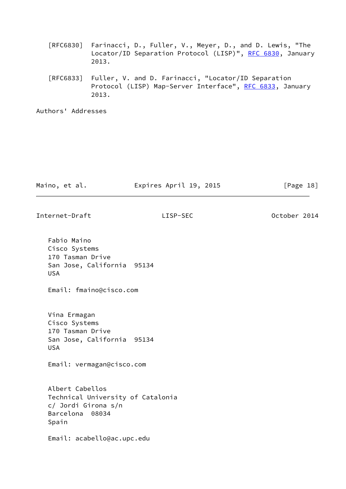- [RFC6830] Farinacci, D., Fuller, V., Meyer, D., and D. Lewis, "The Locator/ID Separation Protocol (LISP)", [RFC 6830,](https://datatracker.ietf.org/doc/pdf/rfc6830) January 2013.
- [RFC6833] Fuller, V. and D. Farinacci, "Locator/ID Separation Protocol (LISP) Map-Server Interface", [RFC 6833](https://datatracker.ietf.org/doc/pdf/rfc6833), January 2013.

Authors' Addresses

| Maino, et al. | Expires April 19, 2015 | [Page 18] |  |
|---------------|------------------------|-----------|--|
|               |                        |           |  |

Internet-Draft LISP-SEC October 2014

 Fabio Maino Cisco Systems 170 Tasman Drive San Jose, California 95134 USA Email: fmaino@cisco.com Vina Ermagan Cisco Systems 170 Tasman Drive San Jose, California 95134 USA Email: vermagan@cisco.com Albert Cabellos Technical University of Catalonia c/ Jordi Girona s/n Barcelona 08034 Spain Email: acabello@ac.upc.edu